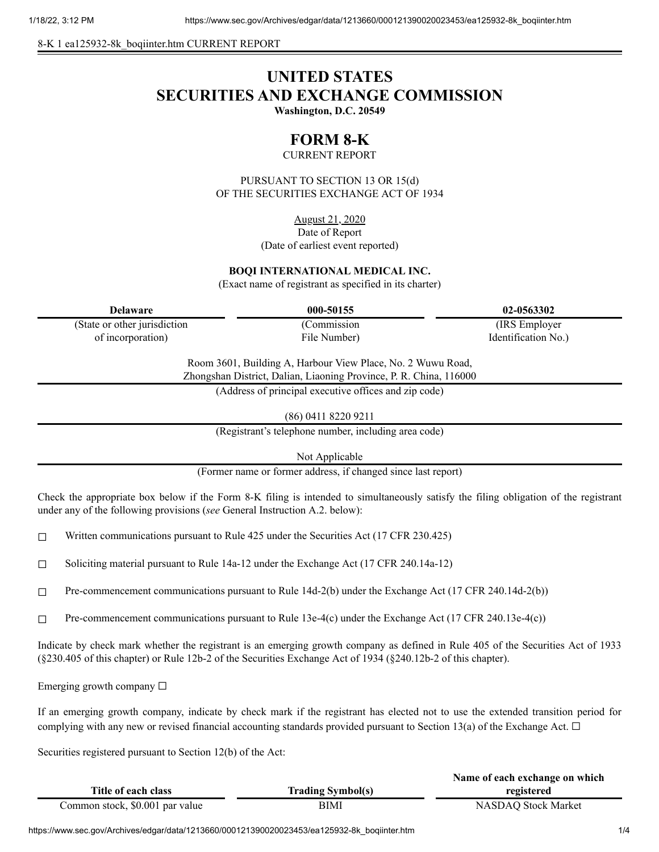8-K 1 ea125932-8k\_boqiinter.htm CURRENT REPORT

# **UNITED STATES SECURITIES AND EXCHANGE COMMISSION**

**Washington, D.C. 20549**

## **FORM 8-K**

CURRENT REPORT

PURSUANT TO SECTION 13 OR 15(d) OF THE SECURITIES EXCHANGE ACT OF 1934

> August 21, 2020 Date of Report (Date of earliest event reported)

#### **BOQI INTERNATIONAL MEDICAL INC.**

(Exact name of registrant as specified in its charter)

| Delaware                      | 000-50155    | 02-0563302          |
|-------------------------------|--------------|---------------------|
| (State or other jurisdiction) | (Commission) | (IRS Employer)      |
| of incorporation)             | File Number) | Identification No.) |

Room 3601, Building A, Harbour View Place, No. 2 Wuwu Road, Zhongshan District, Dalian, Liaoning Province, P. R. China, 116000

(Address of principal executive offices and zip code)

(86) 0411 8220 9211

(Registrant's telephone number, including area code)

Not Applicable

(Former name or former address, if changed since last report)

Check the appropriate box below if the Form 8-K filing is intended to simultaneously satisfy the filing obligation of the registrant under any of the following provisions (*see* General Instruction A.2. below):

 $\Box$  Written communications pursuant to Rule 425 under the Securities Act (17 CFR 230.425)

☐ Soliciting material pursuant to Rule 14a-12 under the Exchange Act (17 CFR 240.14a-12)

☐ Pre-commencement communications pursuant to Rule 14d-2(b) under the Exchange Act (17 CFR 240.14d-2(b))

 $\Box$  Pre-commencement communications pursuant to Rule 13e-4(c) under the Exchange Act (17 CFR 240.13e-4(c))

Indicate by check mark whether the registrant is an emerging growth company as defined in Rule 405 of the Securities Act of 1933 (§230.405 of this chapter) or Rule 12b-2 of the Securities Exchange Act of 1934 (§240.12b-2 of this chapter).

Emerging growth company  $\Box$ 

If an emerging growth company, indicate by check mark if the registrant has elected not to use the extended transition period for complying with any new or revised financial accounting standards provided pursuant to Section 13(a) of the Exchange Act.  $\Box$ 

Securities registered pursuant to Section 12(b) of the Act:

|                                 |                          | Name of each exchange on which |
|---------------------------------|--------------------------|--------------------------------|
| Title of each class             | <b>Trading Symbol(s)</b> | registered                     |
| Common stock, \$0.001 par value | BIMI                     | <b>NASDAO Stock Market</b>     |

https://www.sec.gov/Archives/edgar/data/1213660/000121390020023453/ea125932-8k\_boqiinter.htm 1/4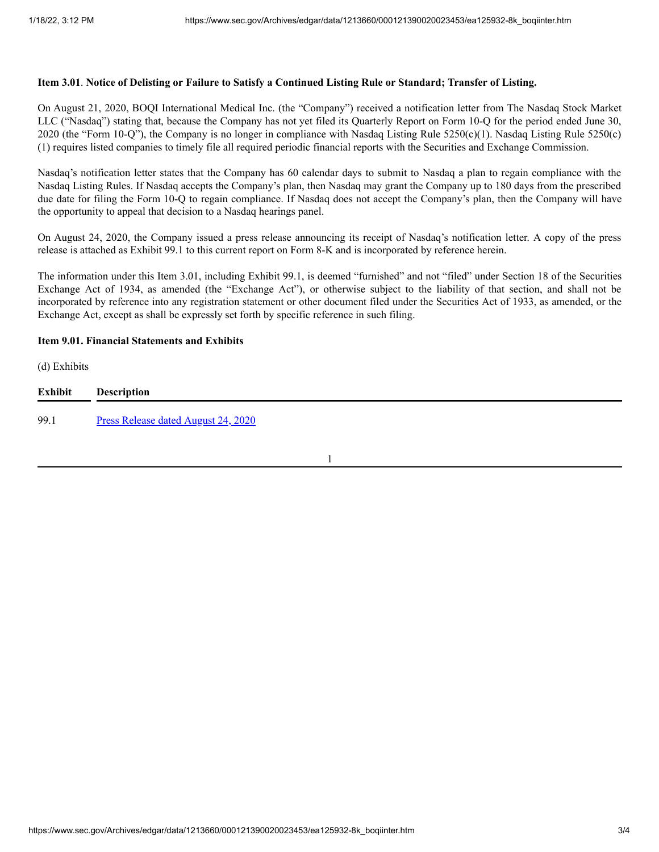#### Item 3.01. Notice of Delisting or Failure to Satisfy a Continued Listing Rule or Standard; Transfer of Listing.

On August 21, 2020, BOQI International Medical Inc. (the "Company") received a notification letter from The Nasdaq Stock Market LLC ("Nasdaq") stating that, because the Company has not yet filed its Quarterly Report on Form 10-Q for the period ended June 30, 2020 (the "Form 10-Q"), the Company is no longer in compliance with Nasdaq Listing Rule 5250(c)(1). Nasdaq Listing Rule 5250(c) (1) requires listed companies to timely file all required periodic financial reports with the Securities and Exchange Commission.

Nasdaq's notification letter states that the Company has 60 calendar days to submit to Nasdaq a plan to regain compliance with the Nasdaq Listing Rules. If Nasdaq accepts the Company's plan, then Nasdaq may grant the Company up to 180 days from the prescribed due date for filing the Form 10-Q to regain compliance. If Nasdaq does not accept the Company's plan, then the Company will have the opportunity to appeal that decision to a Nasdaq hearings panel.

On August 24, 2020, the Company issued a press release announcing its receipt of Nasdaq's notification letter. A copy of the press release is attached as Exhibit 99.1 to this current report on Form 8-K and is incorporated by reference herein.

The information under this Item 3.01, including Exhibit 99.1, is deemed "furnished" and not "filed" under Section 18 of the Securities Exchange Act of 1934, as amended (the "Exchange Act"), or otherwise subject to the liability of that section, and shall not be incorporated by reference into any registration statement or other document filed under the Securities Act of 1933, as amended, or the Exchange Act, except as shall be expressly set forth by specific reference in such filing.

#### **Item 9.01. Financial Statements and Exhibits**

(d) Exhibits

| <b>Exhibit</b> | <b>Description</b>                         |
|----------------|--------------------------------------------|
| 99.1           | <b>Press Release dated August 24, 2020</b> |

1